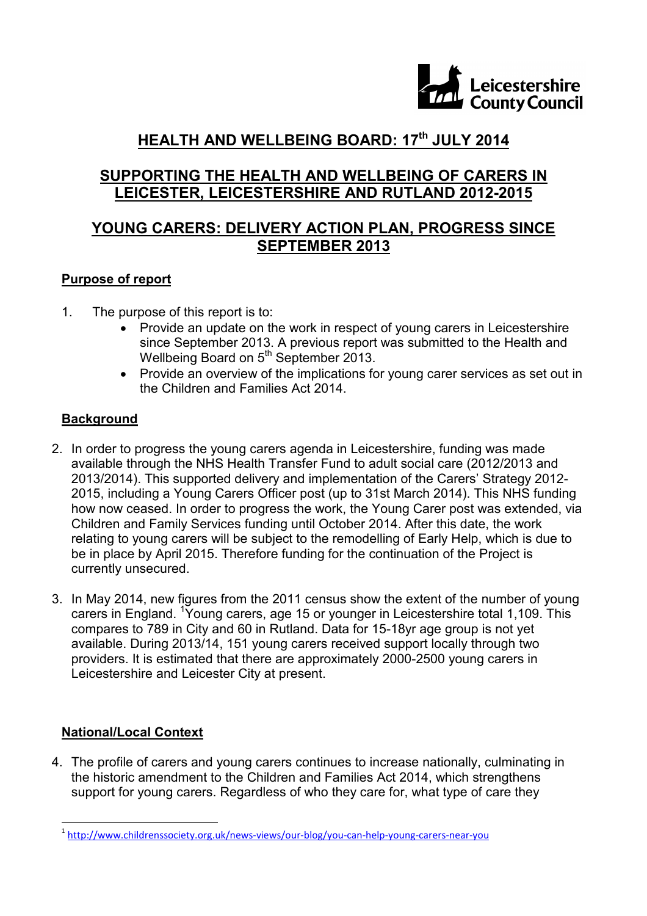

## **HEALTH AND WELLBEING BOARD: 17th JULY 2014**

### **SUPPORTING THE HEALTH AND WELLBEING OF CARERS IN LEICESTER, LEICESTERSHIRE AND RUTLAND 2012-2015**

### **YOUNG CARERS: DELIVERY ACTION PLAN, PROGRESS SINCE SEPTEMBER 2013**

#### **Purpose of report**

- 1. The purpose of this report is to:
	- Provide an update on the work in respect of young carers in Leicestershire since September 2013. A previous report was submitted to the Health and Wellbeing Board on 5<sup>th</sup> September 2013.
	- Provide an overview of the implications for young carer services as set out in the Children and Families Act 2014.

### **Background**

- 2. In order to progress the young carers agenda in Leicestershire, funding was made available through the NHS Health Transfer Fund to adult social care (2012/2013 and 2013/2014). This supported delivery and implementation of the Carers' Strategy 2012- 2015, including a Young Carers Officer post (up to 31st March 2014). This NHS funding how now ceased. In order to progress the work, the Young Carer post was extended, via Children and Family Services funding until October 2014. After this date, the work relating to young carers will be subject to the remodelling of Early Help, which is due to be in place by April 2015. Therefore funding for the continuation of the Project is currently unsecured.
- 3. In May 2014, new figures from the 2011 census show the extent of the number of young carers in England. <sup>1</sup>Young carers, age 15 or younger in Leicestershire total 1,109. This compares to 789 in City and 60 in Rutland. Data for 15-18yr age group is not yet available. During 2013/14, 151 young carers received support locally through two providers. It is estimated that there are approximately 2000-2500 young carers in Leicestershire and Leicester City at present.

### **National/Local Context**

4. The profile of carers and young carers continues to increase nationally, culminating in the historic amendment to the Children and Families Act 2014, which strengthens support for young carers. Regardless of who they care for, what type of care they

 1 http://www.childrenssociety.org.uk/news-views/our-blog/you-can-help-young-carers-near-you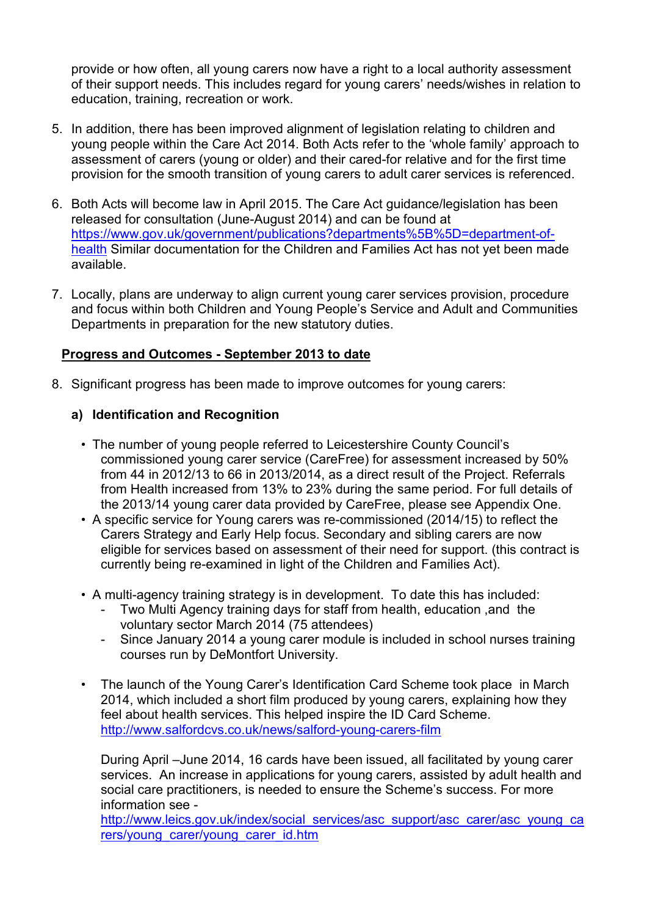provide or how often, all young carers now have a right to a local authority assessment of their support needs. This includes regard for young carers' needs/wishes in relation to education, training, recreation or work.

- 5. In addition, there has been improved alignment of legislation relating to children and young people within the Care Act 2014. Both Acts refer to the 'whole family' approach to assessment of carers (young or older) and their cared-for relative and for the first time provision for the smooth transition of young carers to adult carer services is referenced.
- 6. Both Acts will become law in April 2015. The Care Act guidance/legislation has been released for consultation (June-August 2014) and can be found at https://www.gov.uk/government/publications?departments%5B%5D=department-ofhealth Similar documentation for the Children and Families Act has not yet been made available.
- 7. Locally, plans are underway to align current young carer services provision, procedure and focus within both Children and Young People's Service and Adult and Communities Departments in preparation for the new statutory duties.

#### **Progress and Outcomes - September 2013 to date**

8. Significant progress has been made to improve outcomes for young carers:

#### **a) Identification and Recognition**

- The number of young people referred to Leicestershire County Council's commissioned young carer service (CareFree) for assessment increased by 50% from 44 in 2012/13 to 66 in 2013/2014, as a direct result of the Project. Referrals from Health increased from 13% to 23% during the same period. For full details of the 2013/14 young carer data provided by CareFree, please see Appendix One.
- A specific service for Young carers was re-commissioned (2014/15) to reflect the Carers Strategy and Early Help focus. Secondary and sibling carers are now eligible for services based on assessment of their need for support. (this contract is currently being re-examined in light of the Children and Families Act).
- A multi-agency training strategy is in development. To date this has included:
	- Two Multi Agency training days for staff from health, education ,and the voluntary sector March 2014 (75 attendees)
	- Since January 2014 a young carer module is included in school nurses training courses run by DeMontfort University.
- The launch of the Young Carer's Identification Card Scheme took place in March 2014, which included a short film produced by young carers, explaining how they feel about health services. This helped inspire the ID Card Scheme. http://www.salfordcvs.co.uk/news/salford-young-carers-film

During April –June 2014, 16 cards have been issued, all facilitated by young carer services. An increase in applications for young carers, assisted by adult health and social care practitioners, is needed to ensure the Scheme's success. For more information see -

http://www.leics.gov.uk/index/social\_services/asc\_support/asc\_carer/asc\_young\_ca rers/young\_carer/young\_carer\_id.htm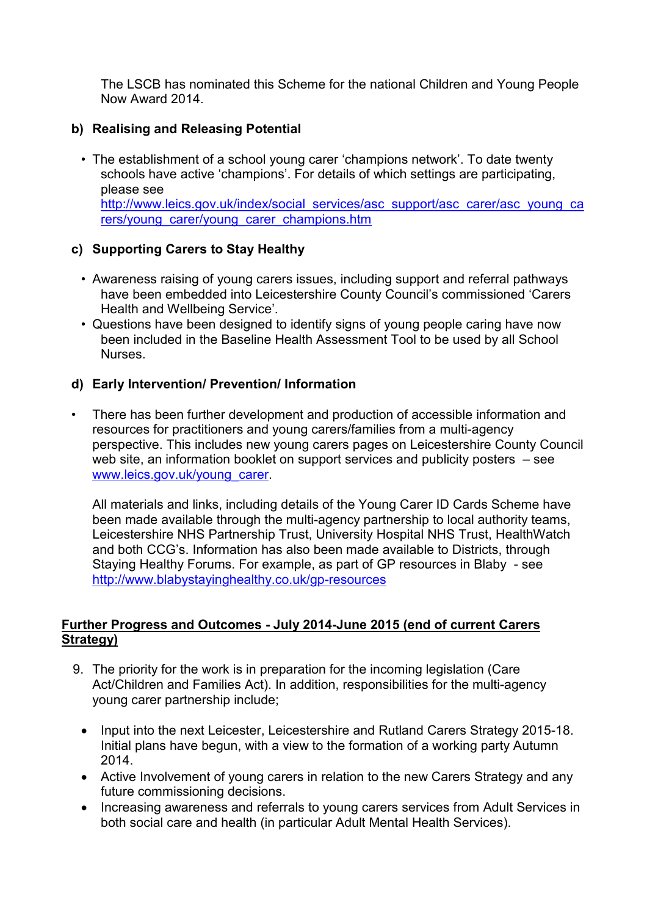The LSCB has nominated this Scheme for the national Children and Young People Now Award 2014.

#### **b) Realising and Releasing Potential**

• The establishment of a school young carer 'champions network'. To date twenty schools have active 'champions'. For details of which settings are participating, please see http://www.leics.gov.uk/index/social\_services/asc\_support/asc\_carer/asc\_young\_ca rers/young\_carer/young\_carer\_champions.htm

#### **c) Supporting Carers to Stay Healthy**

- Awareness raising of young carers issues, including support and referral pathways have been embedded into Leicestershire County Council's commissioned 'Carers Health and Wellbeing Service'.
- Questions have been designed to identify signs of young people caring have now been included in the Baseline Health Assessment Tool to be used by all School **Nurses**

#### **d) Early Intervention/ Prevention/ Information**

• There has been further development and production of accessible information and resources for practitioners and young carers/families from a multi-agency perspective. This includes new young carers pages on Leicestershire County Council web site, an information booklet on support services and publicity posters – see www.leics.gov.uk/young\_carer.

 All materials and links, including details of the Young Carer ID Cards Scheme have been made available through the multi-agency partnership to local authority teams, Leicestershire NHS Partnership Trust, University Hospital NHS Trust, HealthWatch and both CCG's. Information has also been made available to Districts, through Staying Healthy Forums. For example, as part of GP resources in Blaby - see http://www.blabystayinghealthy.co.uk/gp-resources

#### **Further Progress and Outcomes - July 2014-June 2015 (end of current Carers Strategy)**

- 9. The priority for the work is in preparation for the incoming legislation (Care Act/Children and Families Act). In addition, responsibilities for the multi-agency young carer partnership include;
	- Input into the next Leicester, Leicestershire and Rutland Carers Strategy 2015-18. Initial plans have begun, with a view to the formation of a working party Autumn 2014.
	- Active Involvement of young carers in relation to the new Carers Strategy and any future commissioning decisions.
	- Increasing awareness and referrals to young carers services from Adult Services in both social care and health (in particular Adult Mental Health Services).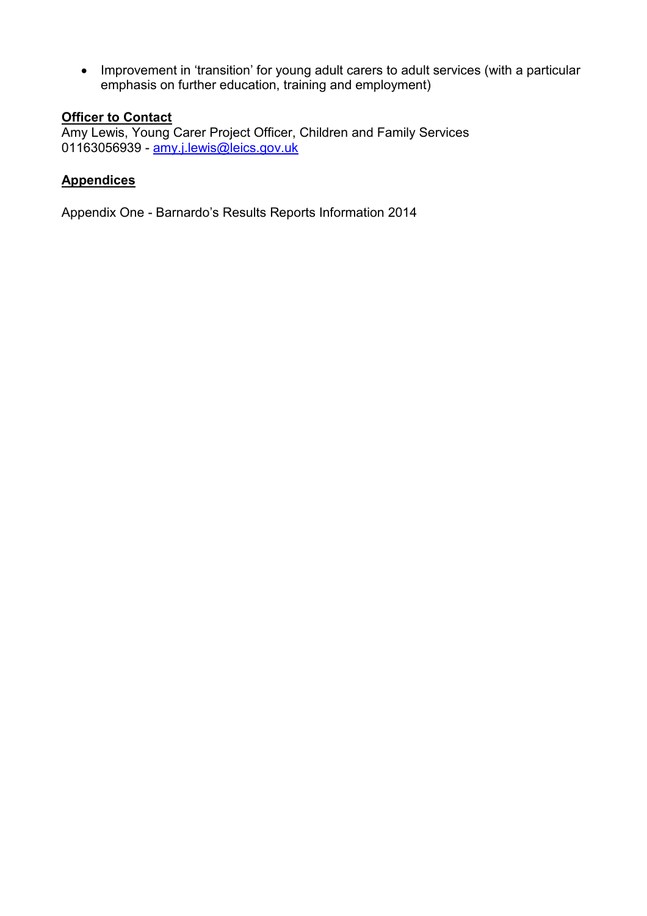• Improvement in 'transition' for young adult carers to adult services (with a particular emphasis on further education, training and employment)

# **Officer to Contact**

Amy Lewis, Young Carer Project Officer, Children and Family Services 01163056939 - amy.j.lewis@leics.gov.uk

#### **Appendices**

Appendix One - Barnardo's Results Reports Information 2014